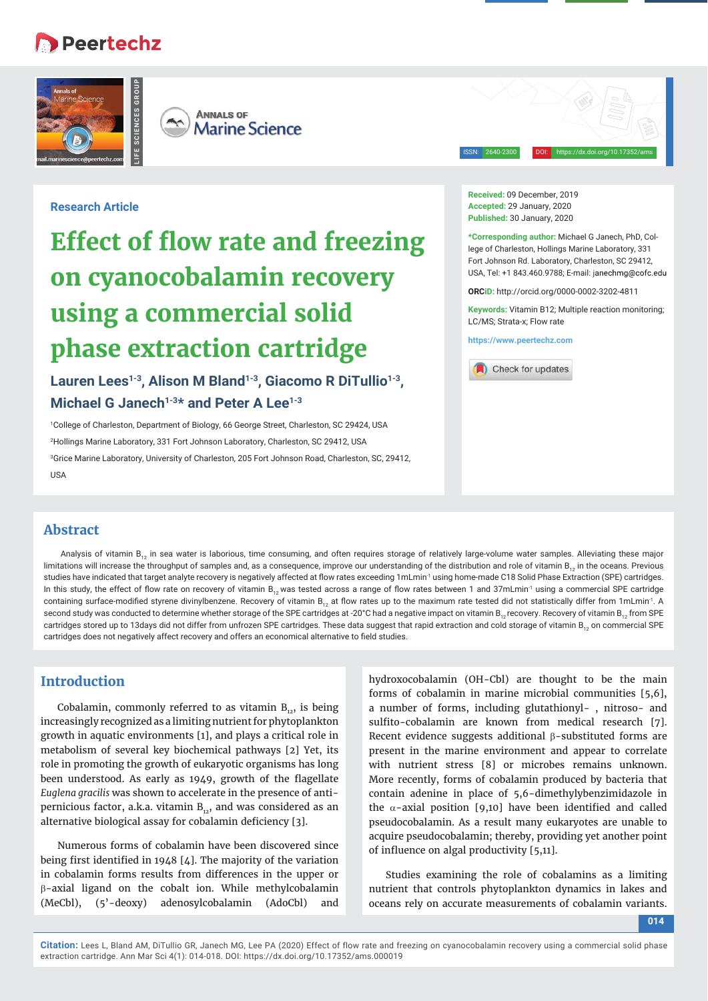# **B** Peertechz



**ANNALS OF**  $A^A$ **Marine Science** 

ISSN: 2640-2300 DOI: https://dx.doi.org/10.17352/ams

# **Research Article**

# **Effect of flow rate and freezing on cyanocobalamin recovery using a commercial solid phase extraction cartridge**

Lauren Lees<sup>1-3</sup>, Alison M Bland<sup>1-3</sup>, Giacomo R DiTullio<sup>1-3</sup>, **Michael G Janech<sup>1-3\*</sup> and Peter A Lee<sup>1-3</sup>** 

 College of Charleston, Department of Biology, 66 George Street, Charleston, SC 29424, USA Hollings Marine Laboratory, 331 Fort Johnson Laboratory, Charleston, SC 29412, USA Grice Marine Laboratory, University of Charleston, 205 Fort Johnson Road, Charleston, SC, 29412,  $IIRA$ 

**Received:** 09 December, 2019 **Accepted:** 29 January, 2020 **Published:** 30 January, 2020

**\*Corresponding author:** Michael G Janech, PhD, College of Charleston, Hollings Marine Laboratory, 331 Fort Johnson Rd. Laboratory, Charleston, SC 29412, USA, Tel: +1 843.460.9788; E-mail:

**ORCiD:** http://orcid.org/0000-0002-3202-4811

**Keywords:** Vitamin B12; Multiple reaction monitoring; LC/MS; Strata-x; Flow rate

**https://www.peertechz.com**



# **Abstract**

Analysis of vitamin  $B_{12}$  in sea water is laborious, time consuming, and often requires storage of relatively large-volume water samples. Alleviating these major limitations will increase the throughput of samples and, as a consequence, improve our understanding of the distribution and role of vitamin  $B_{12}$  in the oceans. Previous studies have indicated that target analyte recovery is negatively affected at flow rates exceeding 1mLmin<sup>1</sup> using home-made C18 Solid Phase Extraction (SPE) cartridges. In this study, the effect of flow rate on recovery of vitamin B<sub>12</sub> was tested across a range of flow rates between 1 and 37mLmin<sup>1</sup> using a commercial SPE cartridge containing surface-modified styrene divinylbenzene. Recovery of vitamin B<sub>12</sub> at flow rates up to the maximum rate tested did not statistically differ from 1mLmin<sup>-1</sup>. A second study was conducted to determine whether storage of the SPE cartridges at -20°C had a negative impact on vitamin  $B_{12}$  recovery. Recovery of vitamin  $B_{12}$  from SPE cartridges stored up to 13days did not differ from unfrozen SPE cartridges. These data suggest that rapid extraction and cold storage of vitamin  $B_{12}$  on commercial SPE cartridges does not negatively affect recovery and offers an economical alternative to field studies.

# **Introduction**

Cobalamin, commonly referred to as vitamin  $B_{12}$ , is being increasingly recognized as a limiting nutrient for phytoplankton growth in aquatic environments [1], and plays a critical role in metabolism of several key biochemical pathways [2] Yet, its role in promoting the growth of eukaryotic organisms has long been understood. As early as 1949, growth of the flagellate *Euglena gracilis* was shown to accelerate in the presence of antipernicious factor, a.k.a. vitamin  $B_{12}$ , and was considered as an alternative biological assay for cobalamin deficiency [3].

Numerous forms of cobalamin have been discovered since being first identified in 1948  $[4]$ . The majority of the variation in cobalamin forms results from differences in the upper or  $\beta$ -axial ligand on the cobalt ion. While methylcobalamin (MeCbl), (5'-deoxy) adenosylcobalamin (AdoCbl) and

hydroxocobalamin (OH-Cbl) are thought to be the main forms of cobalamin in marine microbial communities [5,6], a number of forms, including glutathionyl- , nitroso- and sulfito-cobalamin are known from medical research [7]. Recent evidence suggests additional  $\beta$ -substituted forms are present in the marine environment and appear to correlate with nutrient stress [8] or microbes remains unknown. More recently, forms of cobalamin produced by bacteria that contain adenine in place of 5,6-dimethylybenzimidazole in the  $\alpha$ -axial position [9,10] have been identified and called pseudocobalamin. As a result many eukaryotes are unable to acquire pseudocobalamin; thereby, providing yet another point of influence on algal productivity [5,11].

Studies examining the role of cobalamins as a limiting nutrient that controls phytoplankton dynamics in lakes and oceans rely on accurate measurements of cobalamin variants.

**014**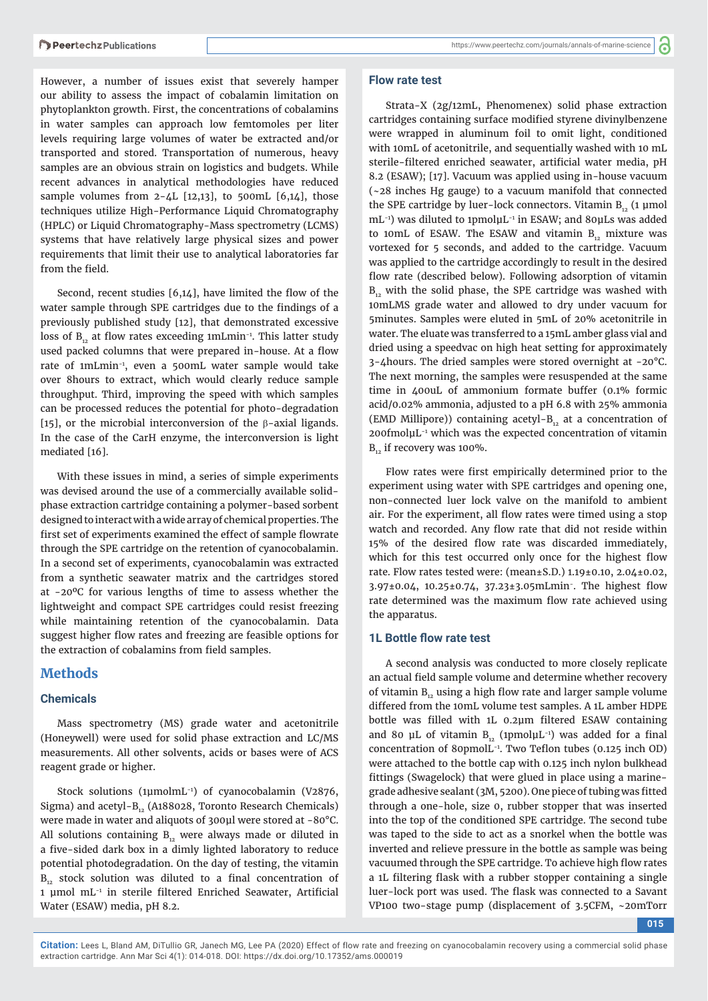However, a number of issues exist that severely hamper our ability to assess the impact of cobalamin limitation on phytoplankton growth. First, the concentrations of cobalamins in water samples can approach low femtomoles per liter levels requiring large volumes of water be extracted and/or transported and stored. Transportation of numerous, heavy samples are an obvious strain on logistics and budgets. While recent advances in analytical methodologies have reduced sample volumes from  $2-\mu L$  [12,13], to 500mL [6,14], those techniques utilize High-Performance Liquid Chromatography (HPLC) or Liquid Chromatography-Mass spectrometry (LCMS) systems that have relatively large physical sizes and power requirements that limit their use to analytical laboratories far from the field.

Second, recent studies  $[6,14]$ , have limited the flow of the water sample through SPE cartridges due to the findings of a previously published study [12], that demonstrated excessive loss of  $B_{12}$  at flow rates exceeding 1mLmin<sup>-1</sup>. This latter study used packed columns that were prepared in-house. At a flow rate of 1mLmin-1, even a 500mL water sample would take over 8hours to extract, which would clearly reduce sample throughput. Third, improving the speed with which samples can be processed reduces the potential for photo-degradation [15], or the microbial interconversion of the  $\beta$ -axial ligands. In the case of the CarH enzyme, the interconversion is light mediated [16].

With these issues in mind, a series of simple experiments was devised around the use of a commercially available solidphase extraction cartridge containing a polymer-based sorbent designed to interact with a wide array of chemical properties. The first set of experiments examined the effect of sample flowrate through the SPE cartridge on the retention of cyanocobalamin. In a second set of experiments, cyanocobalamin was extracted from a synthetic seawater matrix and the cartridges stored at -20ºC for various lengths of time to assess whether the lightweight and compact SPE cartridges could resist freezing while maintaining retention of the cyanocobalamin. Data suggest higher flow rates and freezing are feasible options for the extraction of cobalamins from field samples.

#### **Methods**

#### **Chemicals**

Mass spectrometry (MS) grade water and acetonitrile (Honeywell) were used for solid phase extraction and LC/MS measurements. All other solvents, acids or bases were of ACS reagent grade or higher.

Stock solutions (1μmolmL-1) of cyanocobalamin (V2876, Sigma) and acetyl- $B_{12}$  (A188028, Toronto Research Chemicals) were made in water and aliquots of 300μl were stored at -80°C. All solutions containing  $B_{12}$  were always made or diluted in a five-sided dark box in a dimly lighted laboratory to reduce potential photodegradation. On the day of testing, the vitamin  $B_{12}$  stock solution was diluted to a final concentration of 1 µmol mL<sup>-1</sup> in sterile filtered Enriched Seawater, Artificial Water (ESAW) media, pH 8.2.

#### **Flow rate test**

Strata-X (2g/12mL, Phenomenex) solid phase extraction cartridges containing surface modified styrene divinylbenzene were wrapped in aluminum foil to omit light, conditioned with 10mL of acetonitrile, and sequentially washed with 10 mL sterile-filtered enriched seawater, artificial water media, pH 8.2 (ESAW); [17]. Vacuum was applied using in-house vacuum (~28 inches Hg gauge) to a vacuum manifold that connected the SPE cartridge by luer-lock connectors. Vitamin  $B_{12}$  (1 µmol mL<sup>-1</sup>) was diluted to 1pmolμL<sup>-1</sup> in ESAW; and 80μLs was added to 10mL of ESAW. The ESAW and vitamin  $B_{12}$  mixture was vortexed for 5 seconds, and added to the cartridge. Vacuum was applied to the cartridge accordingly to result in the desired flow rate (described below). Following adsorption of vitamin  $B_{12}$  with the solid phase, the SPE cartridge was washed with 10mLMS grade water and allowed to dry under vacuum for 5minutes. Samples were eluted in 5mL of 20% acetonitrile in water. The eluate was transferred to a 15mL amber glass vial and dried using a speedvac on high heat setting for approximately 3-4hours. The dried samples were stored overnight at -20°C. The next morning, the samples were resuspended at the same time in 400uL of ammonium formate buffer (0.1% formic acid/0.02% ammonia, adjusted to a pH 6.8 with 25% ammonia (EMD Millipore)) containing acetyl- $B_{12}$  at a concentration of 200fmolμL-1 which was the expected concentration of vitamin  $B_{12}$  if recovery was 100%.

Flow rates were first empirically determined prior to the experiment using water with SPE cartridges and opening one, non-connected luer lock valve on the manifold to ambient air. For the experiment, all flow rates were timed using a stop watch and recorded. Any flow rate that did not reside within 15% of the desired flow rate was discarded immediately, which for this test occurred only once for the highest flow rate. Flow rates tested were: (mean±S.D.) 1.19±0.10, 2.04±0.02,  $3.97\pm0.04$ ,  $10.25\pm0.74$ ,  $37.23\pm3.05$ mLmin. The highest flow rate determined was the maximum flow rate achieved using the apparatus.

#### **1L Bottle flow rate test**

A second analysis was conducted to more closely replicate an actual field sample volume and determine whether recovery of vitamin  $B_{12}$  using a high flow rate and larger sample volume differed from the 10mL volume test samples. A 1L amber HDPE bottle was filled with 1L 0.2um filtered ESAW containing and 80 μL of vitamin  $B_{12}$  (1pmoluL<sup>-1</sup>) was added for a final concentration of 80pmol $L^{-1}$ . Two Teflon tubes (0.125 inch OD) were attached to the bottle cap with 0.125 inch nylon bulkhead fittings (Swagelock) that were glued in place using a marinegrade adhesive sealant (3M, 5200). One piece of tubing was fitted through a one-hole, size 0, rubber stopper that was inserted into the top of the conditioned SPE cartridge. The second tube was taped to the side to act as a snorkel when the bottle was inverted and relieve pressure in the bottle as sample was being vacuumed through the SPE cartridge. To achieve high flow rates a 1L filtering flask with a rubber stopper containing a single luer-lock port was used. The flask was connected to a Savant VP100 two-stage pump (displacement of 3.5CFM, ~20mTorr

**015**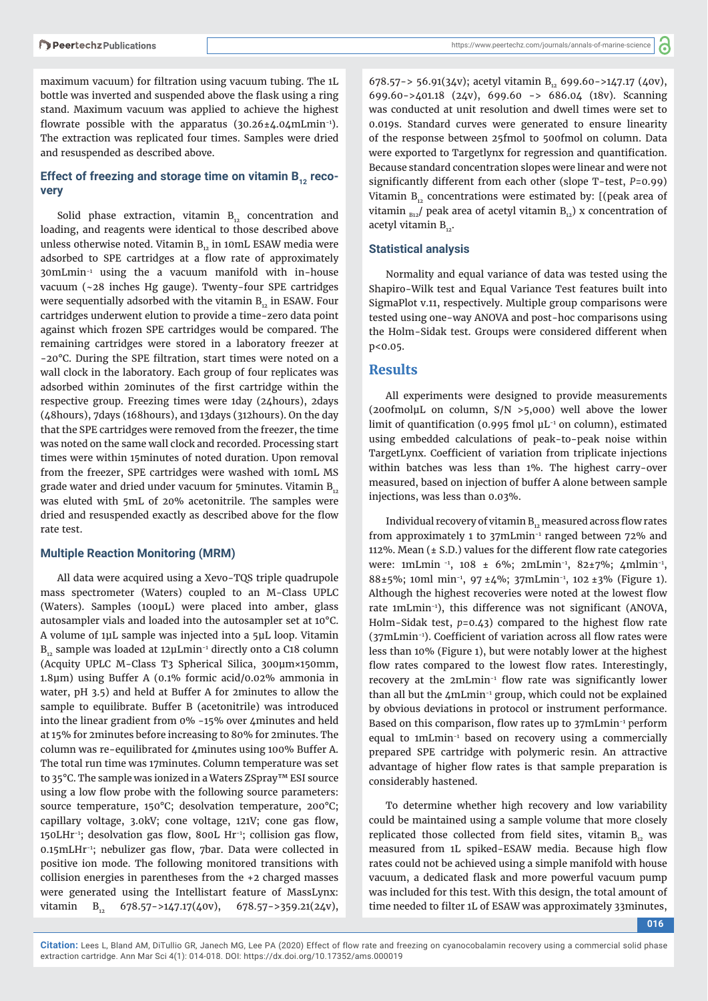maximum vacuum) for filtration using vacuum tubing. The 1L bottle was inverted and suspended above the flask using a ring stand. Maximum vacuum was applied to achieve the highest flowrate possible with the apparatus  $(30.26 \pm 4.04 \text{mLmin}^{-1})$ . The extraction was replicated four times. Samples were dried and resuspended as described above.

## Effect of freezing and storage time on vitamin B<sub>12</sub> reco**very**

Solid phase extraction, vitamin  $B_{12}$  concentration and loading, and reagents were identical to those described above unless otherwise noted. Vitamin  $B_{12}$  in 10mL ESAW media were adsorbed to SPE cartridges at a flow rate of approximately 30mLmin-1 using the a vacuum manifold with in-house vacuum (~28 inches Hg gauge). Twenty-four SPE cartridges were sequentially adsorbed with the vitamin  $B_{12}$  in ESAW. Four cartridges underwent elution to provide a time-zero data point against which frozen SPE cartridges would be compared. The remaining cartridges were stored in a laboratory freezer at -20°C. During the SPE filtration, start times were noted on a wall clock in the laboratory. Each group of four replicates was adsorbed within 20minutes of the first cartridge within the respective group. Freezing times were 1day (24hours), 2days (48hours), 7days (168hours), and 13days (312hours). On the day that the SPE cartridges were removed from the freezer, the time was noted on the same wall clock and recorded. Processing start times were within 15minutes of noted duration. Upon removal from the freezer, SPE cartridges were washed with 10mL MS grade water and dried under vacuum for 5 minutes. Vitamin  $B_{12}$ was eluted with 5mL of 20% acetonitrile. The samples were dried and resuspended exactly as described above for the flow rate test.

#### **Multiple Reaction Monitoring (MRM)**

All data were acquired using a Xevo-TQS triple quadrupole mass spectrometer (Waters) coupled to an M-Class UPLC (Waters). Samples (100μL) were placed into amber, glass autosampler vials and loaded into the autosampler set at 10°C. A volume of 1μL sample was injected into a 5μL loop. Vitamin  $B_{12}$  sample was loaded at 12µLmin<sup>-1</sup> directly onto a C18 column (Acquity UPLC M-Class T3 Spherical Silica, 300μm×150mm, 1.8μm) using Buffer A (0.1% formic acid/0.02% ammonia in water, pH 3.5) and held at Buffer A for 2minutes to allow the sample to equilibrate. Buffer B (acetonitrile) was introduced into the linear gradient from 0% -15% over 4minutes and held at 15% for 2minutes before increasing to 80% for 2minutes. The column was re-equilibrated for 4minutes using 100% Buffer A. The total run time was 17minutes. Column temperature was set to 35°C. The sample was ionized in a Waters ZSpray™ ESI source using a low flow probe with the following source parameters: source temperature, 150°C; desolvation temperature, 200°C; capillary voltage, 3.0kV; cone voltage, 121V; cone gas flow, 150LHr<sup>-1</sup>; desolvation gas flow, 800L Hr<sup>-1</sup>; collision gas flow, 0.15mLHr<sup>-1</sup>; nebulizer gas flow, 7bar. Data were collected in positive ion mode. The following monitored transitions with collision energies in parentheses from the +2 charged masses were generated using the Intellistart feature of MassLynx: vitamin  $B_{12}$  678.57->147.17(40v), 678.57->359.21(24v),

678.57-> 56.91(34v); acetyl vitamin B<sub>12</sub> 699.60->147.17 (40v), 699.60->401.18 (24v), 699.60 -> 686.04 (18v). Scanning was conducted at unit resolution and dwell times were set to 0.019s. Standard curves were generated to ensure linearity of the response between 25fmol to 500fmol on column. Data were exported to Targetlynx for regression and quantification. Because standard concentration slopes were linear and were not significantly different from each other (slope T-test, *P*=0.99) Vitamin  $B_{12}$  concentrations were estimated by: [(peak area of vitamin  $_{\text{B12}}$ / peak area of acetyl vitamin  $B_{12}$ ) x concentration of acetyl vitamin  $B_{12}$ .

#### **Statistical analysis**

Normality and equal variance of data was tested using the Shapiro-Wilk test and Equal Variance Test features built into SigmaPlot v.11, respectively. Multiple group comparisons were tested using one-way ANOVA and post-hoc comparisons using the Holm-Sidak test. Groups were considered different when p<0.05.

#### **Results**

All experiments were designed to provide measurements (200fmolμL on column, S/N >5,000) well above the lower limit of quantification (0.995 fmol  $\mu$ L<sup>-1</sup> on column), estimated using embedded calculations of peak-to-peak noise within TargetLynx. Coefficient of variation from triplicate injections within batches was less than 1%. The highest carry-over measured, based on injection of buffer A alone between sample injections, was less than 0.03%.

Individual recovery of vitamin  $B_{12}$  measured across flow rates from approximately 1 to 37mLmin-1 ranged between 72% and 112%. Mean  $(± S.D.)$  values for the different flow rate categories were: 1mLmin<sup>-1</sup>, 108 ± 6%; 2mLmin<sup>-1</sup>, 82±7%; 4mlmin<sup>-1</sup>, 88±5%; 10ml min-1, 97 ±4%; 37mLmin-1, 102 ±3% (Figure 1). Although the highest recoveries were noted at the lowest flow rate 1mLmin<sup>-1</sup>), this difference was not significant (ANOVA, Holm-Sidak test,  $p=0.43$ ) compared to the highest flow rate  $(37mLmin^{-1})$ . Coefficient of variation across all flow rates were less than 10% (Figure 1), but were notably lower at the highest flow rates compared to the lowest flow rates. Interestingly, recovery at the 2mLmin<sup>-1</sup> flow rate was significantly lower than all but the 4mLmin<sup>-1</sup> group, which could not be explained by obvious deviations in protocol or instrument performance. Based on this comparison, flow rates up to  $37$ mLmin<sup>-1</sup> perform equal to 1mLmin-1 based on recovery using a commercially prepared SPE cartridge with polymeric resin. An attractive advantage of higher flow rates is that sample preparation is considerably hastened.

To determine whether high recovery and low variability could be maintained using a sample volume that more closely replicated those collected from field sites, vitamin  $B_{12}$  was measured from 1L spiked-ESAW media. Because high flow rates could not be achieved using a simple manifold with house vacuum, a dedicated flask and more powerful vacuum pump was included for this test. With this design, the total amount of time needed to filter 1L of ESAW was approximately 33minutes,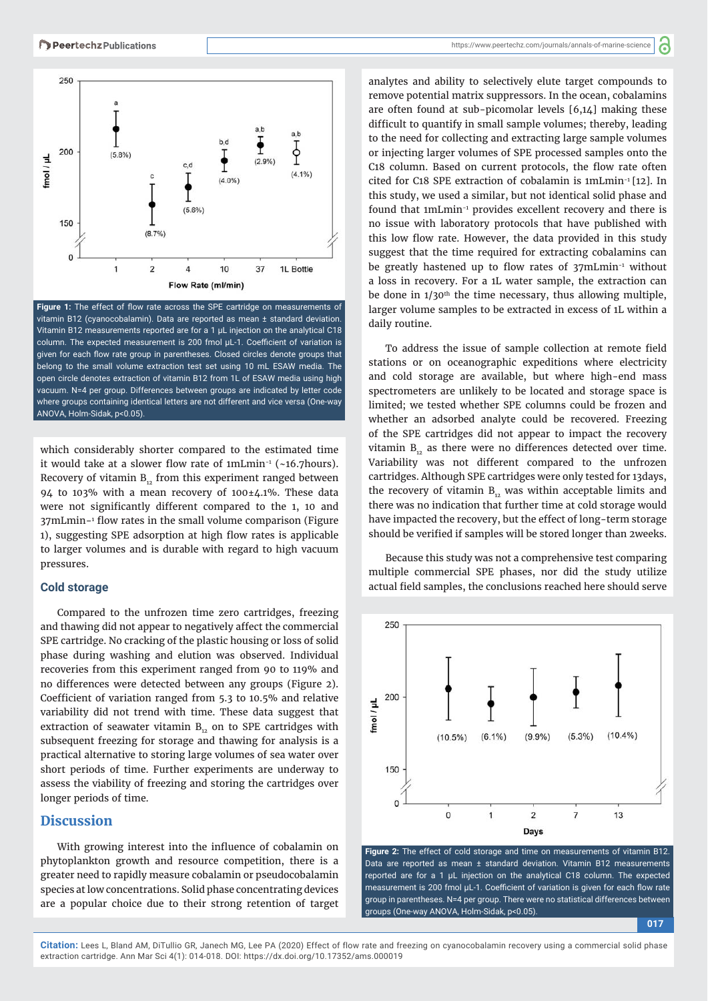

Figure 1: The effect of flow rate across the SPE cartridge on measurements of vitamin B12 (cyanocobalamin). Data are reported as mean ± standard deviation. Vitamin B12 measurements reported are for a 1 μL injection on the analytical C18 column. The expected measurement is 200 fmol µL-1. Coefficient of variation is given for each flow rate group in parentheses. Closed circles denote groups that belong to the small volume extraction test set using 10 mL ESAW media. The open circle denotes extraction of vitamin B12 from 1L of ESAW media using high vacuum. N=4 per group. Differences between groups are indicated by letter code where groups containing identical letters are not different and vice versa (One-way ANOVA, Holm-Sidak, p<0.05).

which considerably shorter compared to the estimated time it would take at a slower flow rate of  $1mLmin^{-1}$  (~16.7hours). Recovery of vitamin  $B_{12}$  from this experiment ranged between 94 to 103% with a mean recovery of  $100\pm4.1$ %. These data were not significantly different compared to the 1, 10 and 37mLmin-1 flow rates in the small volume comparison (Figure 1), suggesting SPE adsorption at high flow rates is applicable to larger volumes and is durable with regard to high vacuum pressures.

#### **Cold storage**

Compared to the unfrozen time zero cartridges, freezing and thawing did not appear to negatively affect the commercial SPE cartridge. No cracking of the plastic housing or loss of solid phase during washing and elution was observed. Individual recoveries from this experiment ranged from 90 to 119% and no differences were detected between any groups (Figure 2). Coefficient of variation ranged from 5.3 to 10.5% and relative variability did not trend with time. These data suggest that extraction of seawater vitamin  $B_{12}$  on to SPE cartridges with subsequent freezing for storage and thawing for analysis is a practical alternative to storing large volumes of sea water over short periods of time. Further experiments are underway to assess the viability of freezing and storing the cartridges over longer periods of time.

# **Discussion**

With growing interest into the influence of cobalamin on phytoplankton growth and resource competition, there is a greater need to rapidly measure cobalamin or pseudocobalamin species at low concentrations. Solid phase concentrating devices are a popular choice due to their strong retention of target analytes and ability to selectively elute target compounds to remove potential matrix suppressors. In the ocean, cobalamins are often found at sub-picomolar levels [6,14] making these difficult to quantify in small sample volumes; thereby, leading to the need for collecting and extracting large sample volumes or injecting larger volumes of SPE processed samples onto the C18 column. Based on current protocols, the flow rate often cited for C18 SPE extraction of cobalamin is 1mLmin-1 [12]. In this study, we used a similar, but not identical solid phase and found that 1mLmin-1 provides excellent recovery and there is no issue with laboratory protocols that have published with this low flow rate. However, the data provided in this study suggest that the time required for extracting cobalamins can be greatly hastened up to flow rates of  $37$ mLmin<sup>-1</sup> without a loss in recovery. For a 1L water sample, the extraction can be done in  $1/30<sup>th</sup>$  the time necessary, thus allowing multiple, larger volume samples to be extracted in excess of 1L within a daily routine.

To address the issue of sample collection at remote field stations or on oceanographic expeditions where electricity and cold storage are available, but where high-end mass spectrometers are unlikely to be located and storage space is limited; we tested whether SPE columns could be frozen and whether an adsorbed analyte could be recovered. Freezing of the SPE cartridges did not appear to impact the recovery vitamin  $B_{12}$  as there were no differences detected over time. Variability was not different compared to the unfrozen cartridges. Although SPE cartridges were only tested for 13days, the recovery of vitamin  $B_{12}$  was within acceptable limits and there was no indication that further time at cold storage would have impacted the recovery, but the effect of long-term storage should be verified if samples will be stored longer than 2weeks.

Because this study was not a comprehensive test comparing multiple commercial SPE phases, nor did the study utilize actual field samples, the conclusions reached here should serve





**017**